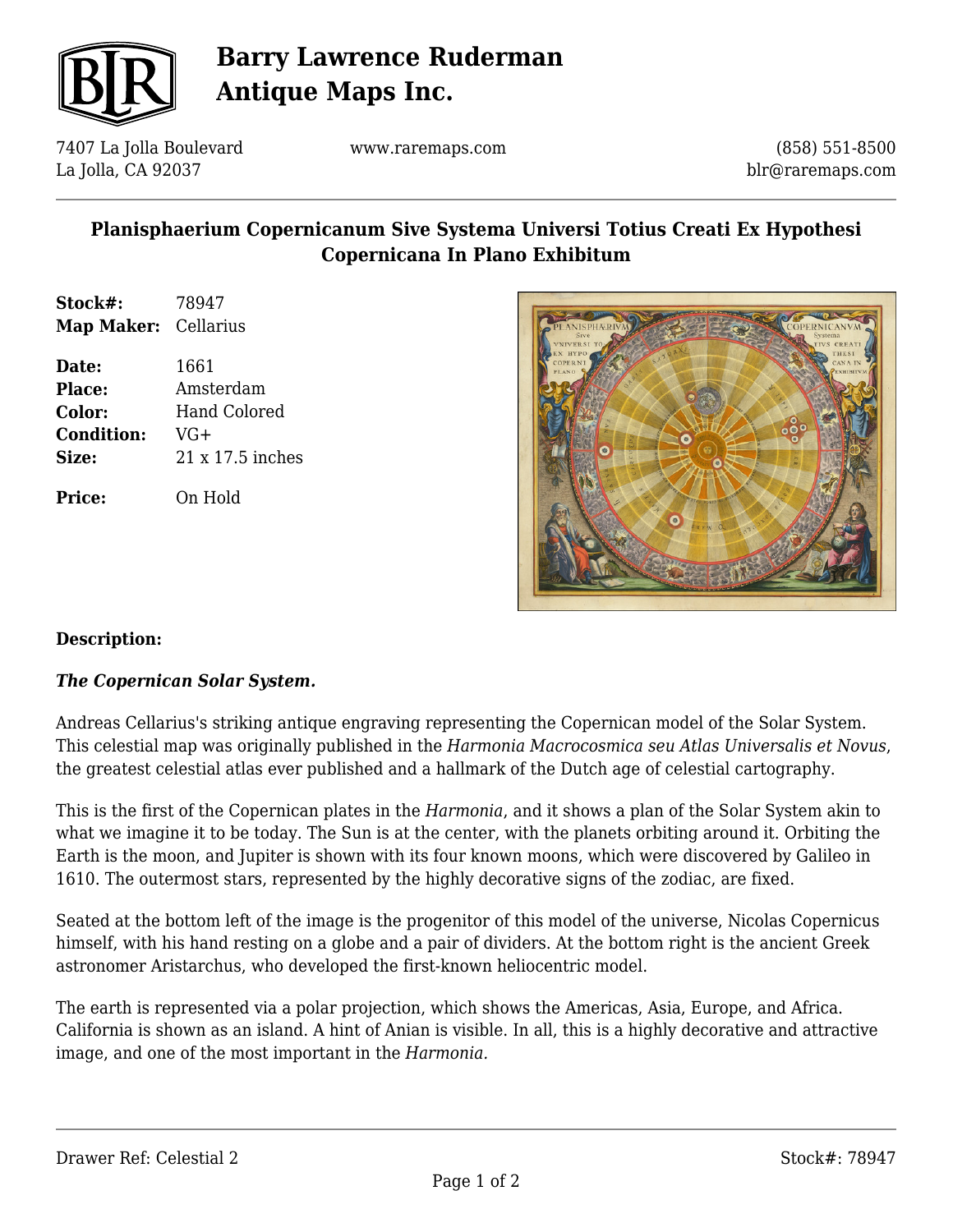

# **Barry Lawrence Ruderman Antique Maps Inc.**

7407 La Jolla Boulevard La Jolla, CA 92037

www.raremaps.com

(858) 551-8500 blr@raremaps.com

## **Planisphaerium Copernicanum Sive Systema Universi Totius Creati Ex Hypothesi Copernicana In Plano Exhibitum**

**Stock#:** 78947 **Map Maker:** Cellarius

**Date:** 1661 **Place:** Amsterdam **Color:** Hand Colored **Condition:** VG+ **Size:** 21 x 17.5 inches

**Price:** On Hold



### **Description:**

#### *The Copernican Solar System.*

Andreas Cellarius's striking antique engraving representing the Copernican model of the Solar System. This celestial map was originally published in the *Harmonia Macrocosmica seu Atlas Universalis et Novus*, the greatest celestial atlas ever published and a hallmark of the Dutch age of celestial cartography.

This is the first of the Copernican plates in the *Harmonia*, and it shows a plan of the Solar System akin to what we imagine it to be today. The Sun is at the center, with the planets orbiting around it. Orbiting the Earth is the moon, and Jupiter is shown with its four known moons, which were discovered by Galileo in 1610. The outermost stars, represented by the highly decorative signs of the zodiac, are fixed.

Seated at the bottom left of the image is the progenitor of this model of the universe, Nicolas Copernicus himself, with his hand resting on a globe and a pair of dividers. At the bottom right is the ancient Greek astronomer Aristarchus, who developed the first-known heliocentric model.

The earth is represented via a polar projection, which shows the Americas, Asia, Europe, and Africa. California is shown as an island. A hint of Anian is visible. In all, this is a highly decorative and attractive image, and one of the most important in the *Harmonia.*